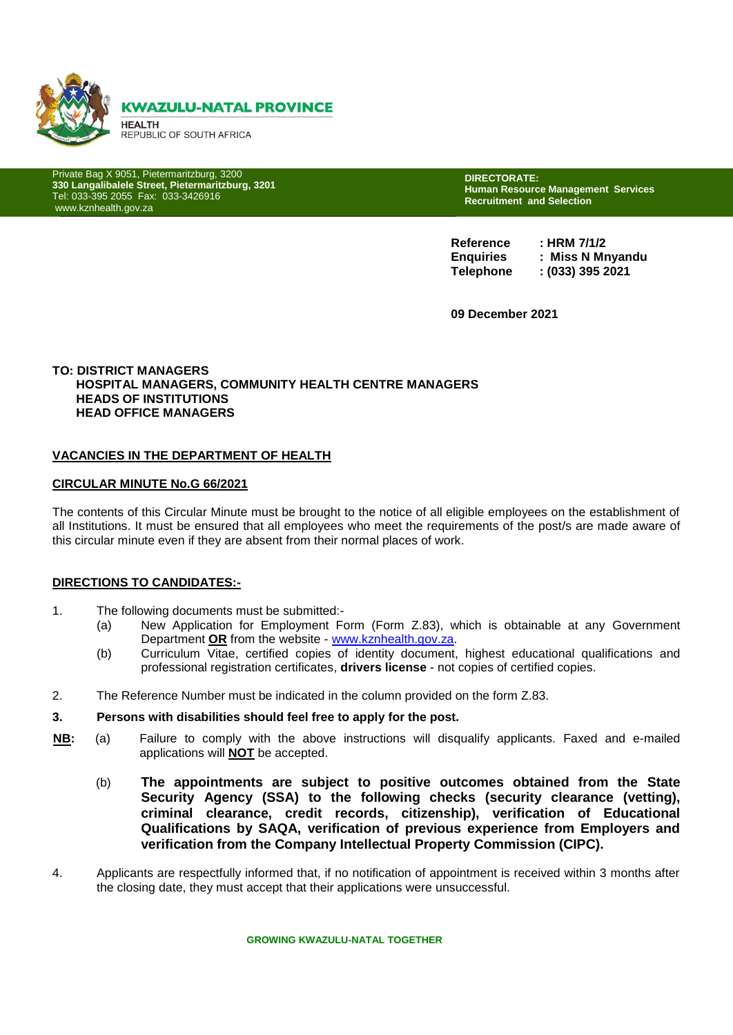

Private Bag X 9051, Pietermaritzburg, 3200 **330 Langalibalele Street, Pietermaritzburg, 3201** Tel: 033-395 2055 Fax: 033-3426916 www.kznhealth.gov.za

330 Langalibalele Street

**DIRECTORATE: Human Resource Management Services Recruitment and Selection** 

**Reference : HRM 7/1/2 Enquiries : Miss N Mnyandu Telephone : (033) 395 2021**

**09 December 2021**

#### **TO: DISTRICT MANAGERS HOSPITAL MANAGERS, COMMUNITY HEALTH CENTRE MANAGERS HEADS OF INSTITUTIONS HEAD OFFICE MANAGERS**

#### **VACANCIES IN THE DEPARTMENT OF HEALTH**

#### **CIRCULAR MINUTE No.G 66/2021**

The contents of this Circular Minute must be brought to the notice of all eligible employees on the establishment of all Institutions. It must be ensured that all employees who meet the requirements of the post/s are made aware of this circular minute even if they are absent from their normal places of work.

#### **DIRECTIONS TO CANDIDATES:-**

- 1. The following documents must be submitted:-
	- (a) New Application for Employment Form (Form Z.83), which is obtainable at any Government Department **OR** from the website - [www.kznhealth.gov.za.](http://www.kznhealth.gov.za/)
	- (b) Curriculum Vitae, certified copies of identity document, highest educational qualifications and professional registration certificates, **drivers license** - not copies of certified copies.
- 2. The Reference Number must be indicated in the column provided on the form Z.83.

#### **3. Persons with disabilities should feel free to apply for the post.**

- **NB:** (a) Failure to comply with the above instructions will disqualify applicants. Faxed and e-mailed applications will **NOT** be accepted.
	- (b) **The appointments are subject to positive outcomes obtained from the State Security Agency (SSA) to the following checks (security clearance (vetting), criminal clearance, credit records, citizenship), verification of Educational Qualifications by SAQA, verification of previous experience from Employers and verification from the Company Intellectual Property Commission (CIPC).**
- 4. Applicants are respectfully informed that, if no notification of appointment is received within 3 months after the closing date, they must accept that their applications were unsuccessful.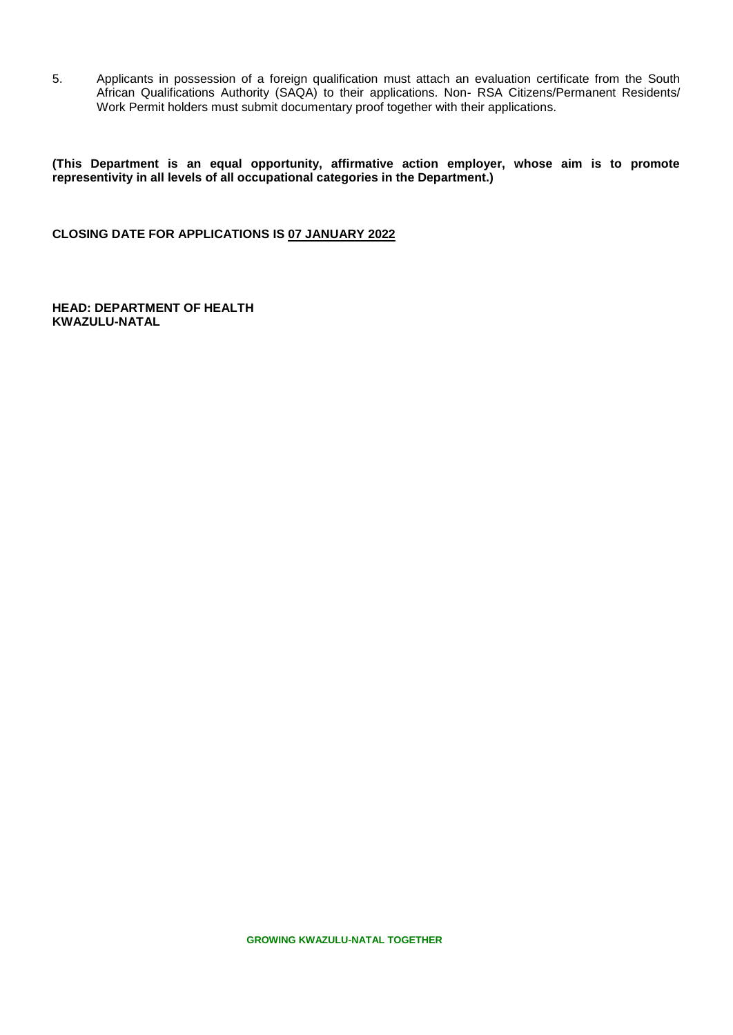5. Applicants in possession of a foreign qualification must attach an evaluation certificate from the South African Qualifications Authority (SAQA) to their applications. Non- RSA Citizens/Permanent Residents/ Work Permit holders must submit documentary proof together with their applications.

**(This Department is an equal opportunity, affirmative action employer, whose aim is to promote representivity in all levels of all occupational categories in the Department.)**

**CLOSING DATE FOR APPLICATIONS IS 07 JANUARY 2022**

**HEAD: DEPARTMENT OF HEALTH KWAZULU-NATAL**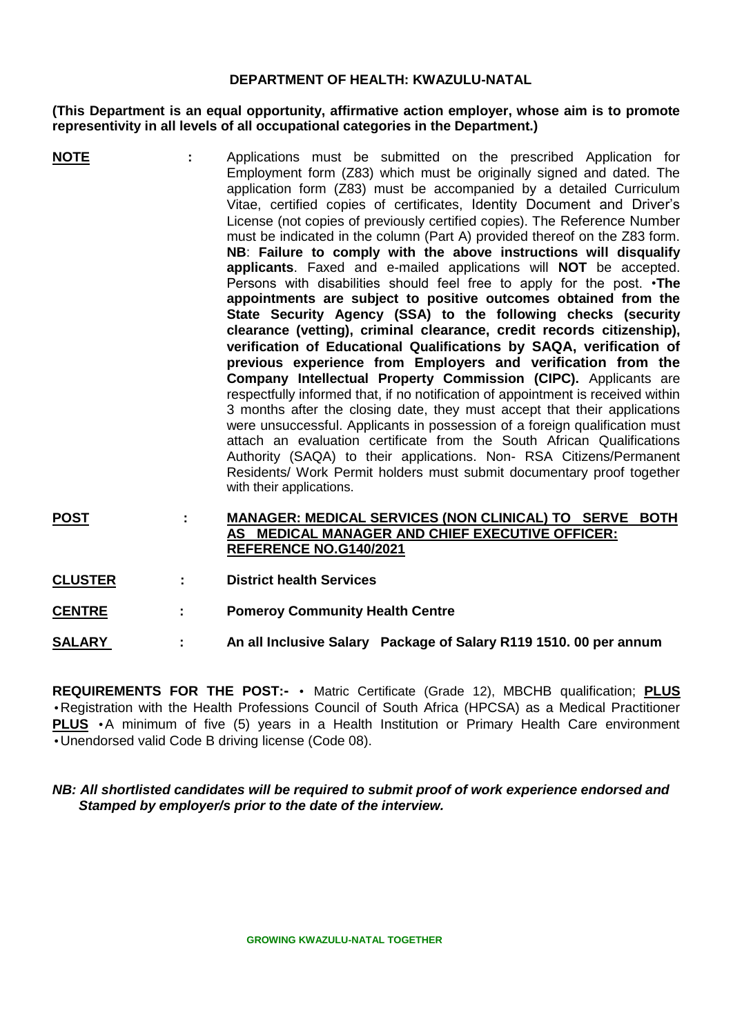## **DEPARTMENT OF HEALTH: KWAZULU-NATAL**

## **(This Department is an equal opportunity, affirmative action employer, whose aim is to promote representivity in all levels of all occupational categories in the Department.)**

- **NOTE :** Applications must be submitted on the prescribed Application for Employment form (Z83) which must be originally signed and dated. The application form (Z83) must be accompanied by a detailed Curriculum Vitae, certified copies of certificates, Identity Document and Driver's License (not copies of previously certified copies). The Reference Number must be indicated in the column (Part A) provided thereof on the Z83 form. **NB**: **Failure to comply with the above instructions will disqualify applicants**. Faxed and e-mailed applications will **NOT** be accepted. Persons with disabilities should feel free to apply for the post. •**The appointments are subject to positive outcomes obtained from the State Security Agency (SSA) to the following checks (security clearance (vetting), criminal clearance, credit records citizenship), verification of Educational Qualifications by SAQA, verification of previous experience from Employers and verification from the Company Intellectual Property Commission (CIPC).** Applicants are respectfully informed that, if no notification of appointment is received within 3 months after the closing date, they must accept that their applications were unsuccessful. Applicants in possession of a foreign qualification must attach an evaluation certificate from the South African Qualifications Authority (SAQA) to their applications. Non- RSA Citizens/Permanent Residents/ Work Permit holders must submit documentary proof together with their applications.
- **POST : MANAGER: MEDICAL SERVICES (NON CLINICAL) TO SERVE BOTH AS MEDICAL MANAGER AND CHIEF EXECUTIVE OFFICER: REFERENCE NO.G140/2021**
- **CLUSTER : District health Services**
- **CENTRE : Pomeroy Community Health Centre**

**SALARY : An all Inclusive Salary Package of Salary R119 1510. 00 per annum**

**REQUIREMENTS FOR THE POST:-** • Matric Certificate (Grade 12), MBCHB qualification; **PLUS** •Registration with the Health Professions Council of South Africa (HPCSA) as a Medical Practitioner **PLUS** •A minimum of five (5) years in a Health Institution or Primary Health Care environment •Unendorsed valid Code B driving license (Code 08).

# *NB: All shortlisted candidates will be required to submit proof of work experience endorsed and Stamped by employer/s prior to the date of the interview.*